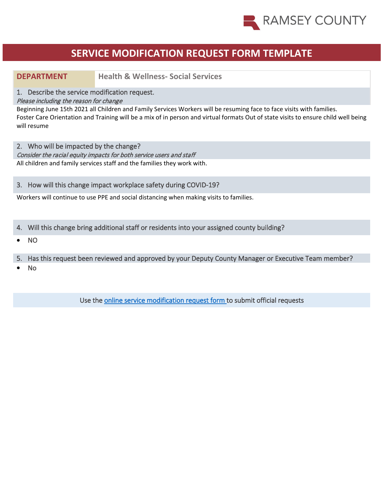

# **SERVICE MODIFICATION REQUEST FORM TEMPLATE**

**DEPARTMENT Health & Wellness - Social Services**

1. Describe the service modification request.

### Please including the reason for change

Beginning June 15th 2021 all Children and Family Services Workers will be resuming face to face visits with families. Foster Care Orientation and Training will be a mix of in person and virtual formats Out of state visits to ensure child well being will resume

2. Who will be impacted by the change?

Consider the racial equity impacts for both service users and staff All children and family services staff and the families they work with.

## 3. How will this change impact workplace safety during COVID-19?

Workers will continue to use PPE and social distancing when making visits to families.

- 4. Will this change bring additional staff or residents into your assigned county building?
- NO
- 5. Has this request been reviewed and approved by your Deputy County Manager or Executive Team member?
- No

Use the [online service modification request form t](https://ramseynet.us/county-governance/county-manager/covid-19-service-delivery-change-request)o submit official requests